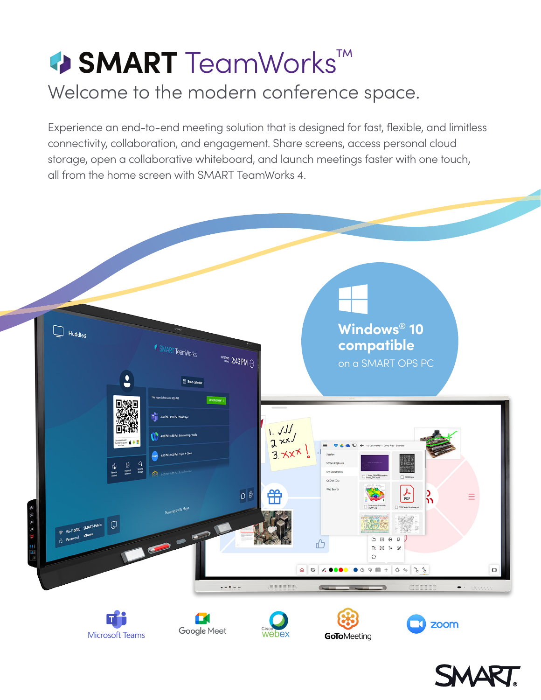# **<sup>4</sup>> SMART** TeamWorks™ Welcome to the modern conference space.

Experience an end-to-end meeting solution that is designed for fast, flexible, and limitless connectivity, collaboration, and engagement. Share screens, access personal cloud storage, open a collaborative whiteboard, and launch meetings faster with one touch, all from the home screen with SMART TeamWorks 4.